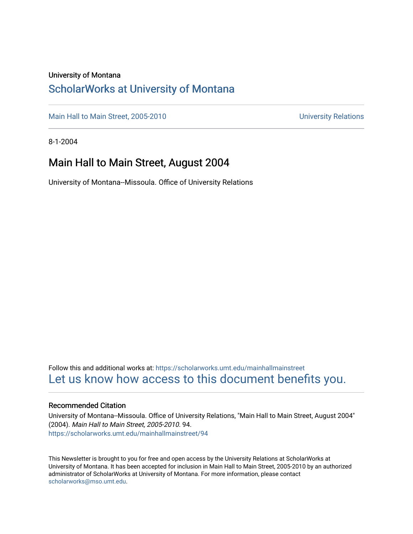#### University of Montana

### [ScholarWorks at University of Montana](https://scholarworks.umt.edu/)

[Main Hall to Main Street, 2005-2010](https://scholarworks.umt.edu/mainhallmainstreet) Main Hall to Main Street, 2005-2010

8-1-2004

### Main Hall to Main Street, August 2004

University of Montana--Missoula. Office of University Relations

Follow this and additional works at: [https://scholarworks.umt.edu/mainhallmainstreet](https://scholarworks.umt.edu/mainhallmainstreet?utm_source=scholarworks.umt.edu%2Fmainhallmainstreet%2F94&utm_medium=PDF&utm_campaign=PDFCoverPages) [Let us know how access to this document benefits you.](https://goo.gl/forms/s2rGfXOLzz71qgsB2) 

#### Recommended Citation

University of Montana--Missoula. Office of University Relations, "Main Hall to Main Street, August 2004" (2004). Main Hall to Main Street, 2005-2010. 94. [https://scholarworks.umt.edu/mainhallmainstreet/94](https://scholarworks.umt.edu/mainhallmainstreet/94?utm_source=scholarworks.umt.edu%2Fmainhallmainstreet%2F94&utm_medium=PDF&utm_campaign=PDFCoverPages) 

This Newsletter is brought to you for free and open access by the University Relations at ScholarWorks at University of Montana. It has been accepted for inclusion in Main Hall to Main Street, 2005-2010 by an authorized administrator of ScholarWorks at University of Montana. For more information, please contact [scholarworks@mso.umt.edu.](mailto:scholarworks@mso.umt.edu)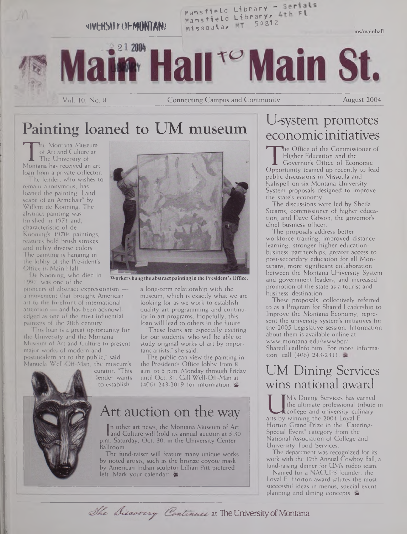

Painting loaned to UM museum

of Art and Culture at<br>The University of<br>Montana has received an art<br>loan from a private collector he Montana Museum of Art and Culture at The University of loan from a private collector.

The lender, who wishes to remain anonymous, has loaned the painting "Landscape of an Armchair" by Willem de Kooning. The abstract painting was finished in 1971 and, characteristic of de Kooning's 1970s paintings, features bold brush strokes and richly diverse colors. The painting is hanging in the lobby of the President's Office in Main Hall.

De Kooning, who died in 1997, was one of the

pioneers of abstract expressionism a movement that brought American art to the forefront of international attention — and has been acknowledged as one of the most influential painters of the 20th century.

This loan is a great opportunity for the University and the Montana Museum of Art and Culture to present major works of modern and postmodern art to the public," said Manuela Well-Off-Man, the museum's

curator. 'This lender wants to establish



**Workers hang the abstractpainting in the President's Office.**

a long-term relationship with the museum, which is exactly what we are looking for as we work to establish quality art programming and continuity in art programs. Hopefully, this loan will lead to others in the future.

'These loans are especially exciting for our students, who will be able to study original works of art by important artists," she said.

The public can view the painting in the President's Office lobby from 8 a.m. to 5 p.m. Monday through Friday until Oct. 31. Call Well-Off-Man at (406) 243-2019 for information. &

## Art auction on the way

u. saturuay<br>Ilroom. n other art news, the Montana Museum of Art and Culture will hold its annual auction at 5:30 p.m. Saturday, Oct; 30, in the University Center

The fund-raiser will feature many unique works by noted artists, such as the bronze coyote mask by American Indian sculptor Lillian Pitt pictured left. Mark your calendar!

# U-system promotes economicinitiatives

Higher Education and the<br>
Governor's Office of Economic<br>
Opportunity teamed up recently to lead<br>
mublic discussions in Missoula and he Office of the Commissioner of Higher Education and the Governor's Office of Economic public discussions in Missoula and Kalispell on six Montana University System proposals designed to improve the state's economy.

The discussions were led by Sheila Stearns, commissioner of higher education, and Dave Gibson, the governor's chief business officer.

The proposals address better workforce training, improved distance learning, stronger higher educationbusiness partnerships, greater access to post-secondary education for all Montanans, more significant collaboration between the Montana University System and government leaders, and increased promotion of the state as a tourist and business destination.

These proposals, collectively referred to as a Program for Shared Leadership to Improve the Montana Economy, represent the university system's initiatives for the 2005 Legislative session. Information about them is available online at [www.montana.edu/wwwbor/](http://www.montana.edu/wwwbor/) SharedLeadInfo.htm. For more information, call (406) 243-2311.

## UM Dining Services wins national award

the ultimate professional tribute in<br>college and university culinary<br>arts by winning the 2004 Loyal E.<br>Horton Grand Prize in the "Gatering. M's Dining Services has earned the ultimate professional tribute in **L**college and university culinary Horton Grand Prize in the "Catering-Special Event" category from the National Association of College and University Food Services.

The department was recognized for its work with the 12th Annual Cowboy Ball, a fund-raising dinner for UM's rodeo team.

Named for a NACUFS founder, the Loyal E. Horton award salutes the most successful ideas in menus, special event planning and dining concepts. &

The Discavery Continues at The University of Montana